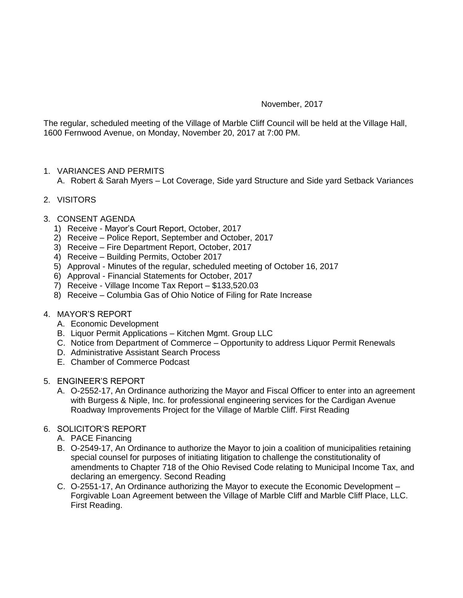## November, 2017

The regular, scheduled meeting of the Village of Marble Cliff Council will be held at the Village Hall, 1600 Fernwood Avenue, on Monday, November 20, 2017 at 7:00 PM.

- 1. VARIANCES AND PERMITS
	- A. Robert & Sarah Myers Lot Coverage, Side yard Structure and Side yard Setback Variances
- 2. VISITORS
- 3. CONSENT AGENDA
	- 1) Receive Mayor's Court Report, October, 2017
	- 2) Receive Police Report, September and October, 2017
	- 3) Receive Fire Department Report, October, 2017
	- 4) Receive Building Permits, October 2017
	- 5) Approval Minutes of the regular, scheduled meeting of October 16, 2017
	- 6) Approval Financial Statements for October, 2017
	- 7) Receive Village Income Tax Report \$133,520.03
	- 8) Receive Columbia Gas of Ohio Notice of Filing for Rate Increase
- 4. MAYOR'S REPORT
	- A. Economic Development
	- B. Liquor Permit Applications Kitchen Mgmt. Group LLC
	- C. Notice from Department of Commerce Opportunity to address Liquor Permit Renewals
	- D. Administrative Assistant Search Process
	- E. Chamber of Commerce Podcast
- 5. ENGINEER'S REPORT
	- A. O-2552-17, An Ordinance authorizing the Mayor and Fiscal Officer to enter into an agreement with Burgess & Niple, Inc. for professional engineering services for the Cardigan Avenue Roadway Improvements Project for the Village of Marble Cliff. First Reading
- 6. SOLICITOR'S REPORT
	- A. PACE Financing
	- B. O-2549-17, An Ordinance to authorize the Mayor to join a coalition of municipalities retaining special counsel for purposes of initiating litigation to challenge the constitutionality of amendments to Chapter 718 of the Ohio Revised Code relating to Municipal Income Tax, and declaring an emergency. Second Reading
	- C. O-2551-17, An Ordinance authorizing the Mayor to execute the Economic Development Forgivable Loan Agreement between the Village of Marble Cliff and Marble Cliff Place, LLC. First Reading.